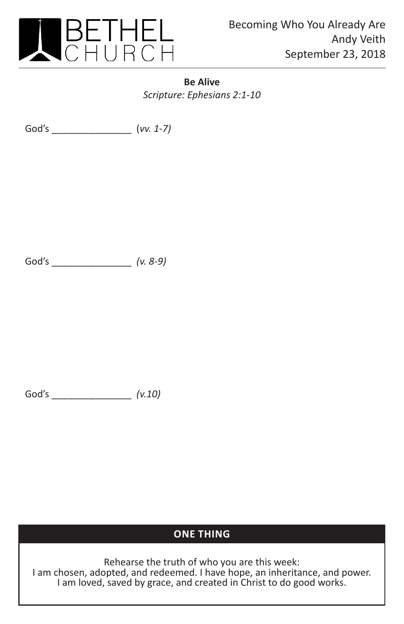

**Be Alive** *Scripture: Ephesians 2:1-10*

God's \_\_\_\_\_\_\_\_\_\_\_\_\_\_\_ (*vv. 1-7)*

God's \_\_\_\_\_\_\_\_\_\_\_\_\_\_\_ *(v. 8-9)*

God's \_\_\_\_\_\_\_\_\_\_\_\_\_\_\_ *(v.10)*

## **ONE THING**

Rehearse the truth of who you are this week: I am chosen, adopted, and redeemed. I have hope, an inheritance, and power. I am loved, saved by grace, and created in Christ to do good works.